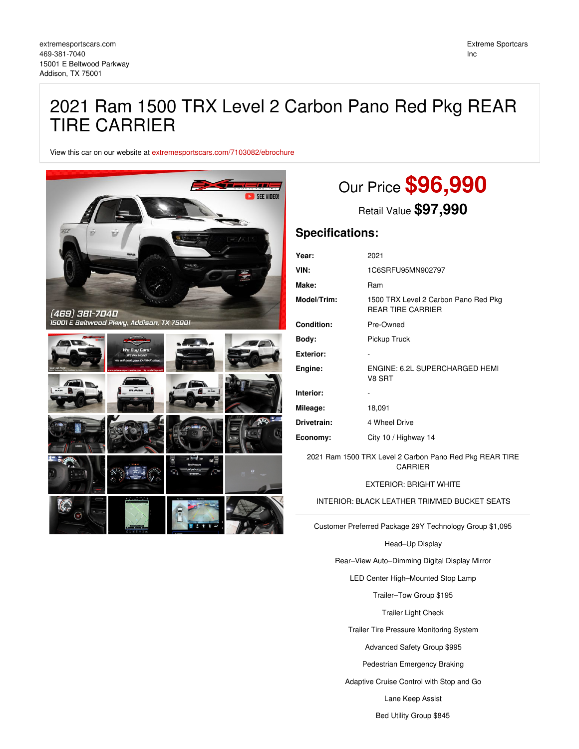## 2021 Ram 1500 TRX Level 2 Carbon Pano Red Pkg REAR TIRE CARRIER

View this car on our website at [extremesportscars.com/7103082/ebrochure](https://extremesportscars.com/vehicle/7103082/2021-ram-1500-trx-level-2-carbon-pano-red-pkg-rear-tire-carrier-addison-tx-75001/7103082/ebrochure)



# Our Price **\$96,990**

Retail Value **\$97,990**

## **Specifications:**

| Year:            | 2021                                                             |
|------------------|------------------------------------------------------------------|
| VIN:             | 1C6SRFU95MN902797                                                |
| Make:            | Ram                                                              |
| Model/Trim:      | 1500 TRX Level 2 Carbon Pano Red Pkg<br><b>REAR TIRE CARRIER</b> |
| Condition:       | Pre-Owned                                                        |
| Body:            | Pickup Truck                                                     |
| <b>Exterior:</b> |                                                                  |
| Engine:          | ENGINE: 6.2L SUPERCHARGED HEMI<br>V8 SRT                         |
| Interior:        |                                                                  |
| Mileage:         | 18,091                                                           |
| Drivetrain:      | 4 Wheel Drive                                                    |
| Economy:         | City 10 / Highway 14                                             |

2021 Ram 1500 TRX Level 2 Carbon Pano Red Pkg REAR TIRE CARRIER

EXTERIOR: BRIGHT WHITE

INTERIOR: BLACK LEATHER TRIMMED BUCKET SEATS

Customer Preferred Package 29Y Technology Group \$1,095

Head–Up Display

Rear–View Auto–Dimming Digital Display Mirror

LED Center High–Mounted Stop Lamp

Trailer–Tow Group \$195

Trailer Light Check

Trailer Tire Pressure Monitoring System

Advanced Safety Group \$995

Pedestrian Emergency Braking

Adaptive Cruise Control with Stop and Go

Lane Keep Assist

Bed Utility Group \$845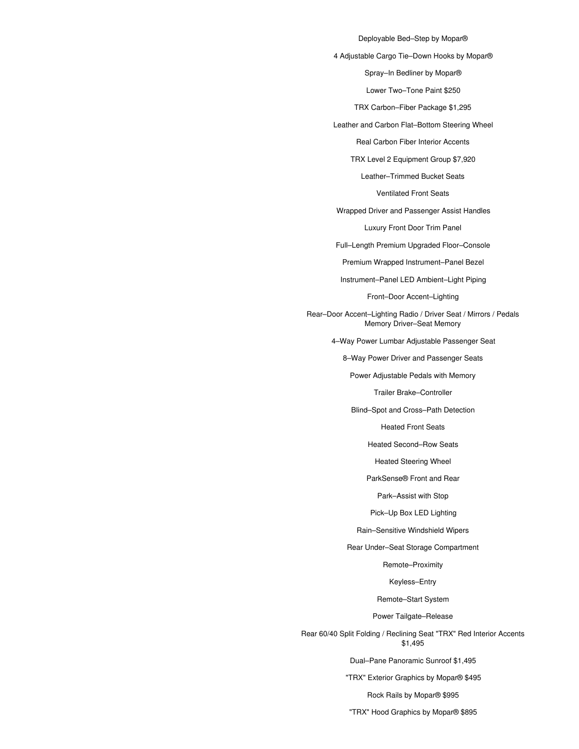Deployable Bed–Step by Mopar® 4 Adjustable Cargo Tie–Down Hooks by Mopar® Spray–In Bedliner by Mopar® Lower Two–Tone Paint \$250 TRX Carbon–Fiber Package \$1,295 Leather and Carbon Flat–Bottom Steering Wheel Real Carbon Fiber Interior Accents TRX Level 2 Equipment Group \$7,920 Leather–Trimmed Bucket Seats Ventilated Front Seats Wrapped Driver and Passenger Assist Handles Luxury Front Door Trim Panel Full–Length Premium Upgraded Floor–Console Premium Wrapped Instrument–Panel Bezel Instrument–Panel LED Ambient–Light Piping Front–Door Accent–Lighting Rear–Door Accent–Lighting Radio / Driver Seat / Mirrors / Pedals Memory Driver–Seat Memory 4–Way Power Lumbar Adjustable Passenger Seat 8–Way Power Driver and Passenger Seats Power Adjustable Pedals with Memory Trailer Brake–Controller Blind–Spot and Cross–Path Detection Heated Front Seats Heated Second–Row Seats Heated Steering Wheel ParkSense® Front and Rear Park–Assist with Stop Pick–Up Box LED Lighting Rain–Sensitive Windshield Wipers Rear Under–Seat Storage Compartment

Remote–Proximity

Keyless–Entry

Remote–Start System

Power Tailgate–Release

Rear 60/40 Split Folding / Reclining Seat "TRX" Red Interior Accents \$1,495

Dual–Pane Panoramic Sunroof \$1,495

"TRX" Exterior Graphics by Mopar® \$495

Rock Rails by Mopar® \$995

"TRX" Hood Graphics by Mopar® \$895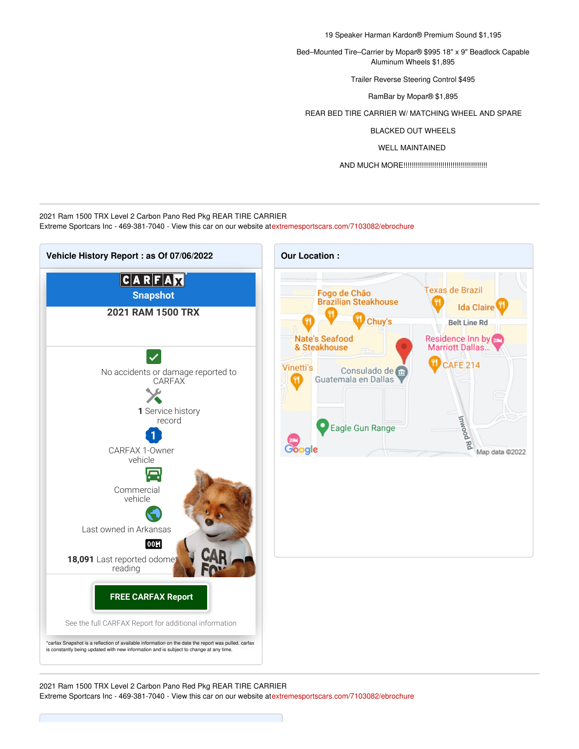19 Speaker Harman Kardon® Premium Sound \$1,195

Bed–Mounted Tire–Carrier by Mopar® \$995 18" x 9" Beadlock Capable Aluminum Wheels \$1,895

Trailer Reverse Steering Control \$495

RamBar by Mopar® \$1,895

REAR BED TIRE CARRIER W/ MATCHING WHEEL AND SPARE

BLACKED OUT WHEELS

WELL MAINTAINED

AND MUCH MORE!!!!!!!!!!!!!!!!!!!!!!!!!!!!!!!!!!!!!!!!!

2021 Ram 1500 TRX Level 2 Carbon Pano Red Pkg REAR TIRE CARRIER Extreme Sportcars Inc - 469-381-7040 - View this car on our website at[extremesportscars.com/7103082/ebrochure](https://extremesportscars.com/vehicle/7103082/2021-ram-1500-trx-level-2-carbon-pano-red-pkg-rear-tire-carrier-addison-tx-75001/7103082/ebrochure)



2021 Ram 1500 TRX Level 2 Carbon Pano Red Pkg REAR TIRE CARRIER Extreme Sportcars Inc - 469-381-7040 - View this car on our website at[extremesportscars.com/7103082/ebrochure](https://extremesportscars.com/vehicle/7103082/2021-ram-1500-trx-level-2-carbon-pano-red-pkg-rear-tire-carrier-addison-tx-75001/7103082/ebrochure)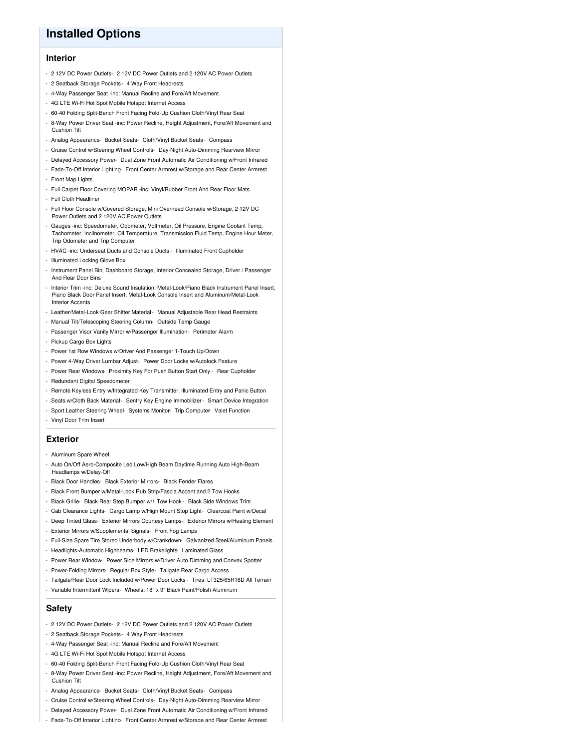## **Installed Options**

#### **Interior**

- 2 12V DC Power Outlets- 2 12V DC Power Outlets and 2 120V AC Power Outlets
- 2 Seatback Storage Pockets- 4 Way Front Headrests
- 4-Way Passenger Seat -inc: Manual Recline and Fore/Aft Movement
- 4G LTE Wi-Fi Hot Spot Mobile Hotspot Internet Access
- 60-40 Folding Split-Bench Front Facing Fold-Up Cushion Cloth/Vinyl Rear Seat
- 8-Way Power Driver Seat -inc: Power Recline, Height Adjustment, Fore/Aft Movement and Cushion Tilt
- Analog Appearance- Bucket Seats- Cloth/Vinyl Bucket Seats- Compass
- Cruise Control w/Steering Wheel Controls- Day-Night Auto-Dimming Rearview Mirror
- Delayed Accessory Power- Dual Zone Front Automatic Air Conditioning w/Front Infrared
- Fade-To-Off Interior Lighting- Front Center Armrest w/Storage and Rear Center Armrest
- Front Map Lights
- Full Carpet Floor Covering MOPAR -inc: Vinyl/Rubber Front And Rear Floor Mats
- Full Cloth Headliner
- Full Floor Console w/Covered Storage, Mini Overhead Console w/Storage, 2 12V DC Power Outlets and 2 120V AC Power Outlets
- Gauges -inc: Speedometer, Odometer, Voltmeter, Oil Pressure, Engine Coolant Temp, Tachometer, Inclinometer, Oil Temperature, Transmission Fluid Temp, Engine Hour Meter, Trip Odometer and Trip Computer
- HVAC -inc: Underseat Ducts and Console Ducts Illuminated Front Cupholder
- Illuminated Locking Glove Box
- Instrument Panel Bin, Dashboard Storage, Interior Concealed Storage, Driver / Passenger And Rear Door Bins
- Interior Trim -inc: Deluxe Sound Insulation, Metal-Look/Piano Black Instrument Panel Insert, Piano Black Door Panel Insert, Metal-Look Console Insert and Aluminum/Metal-Look Interior Accents
- Leather/Metal-Look Gear Shifter Material- Manual Adjustable Rear Head Restraints
- Manual Tilt/Telescoping Steering Column- Outside Temp Gauge
- Passenger Visor Vanity Mirror w/Passenger Illumination- Perimeter Alarm
- Pickup Cargo Box Lights
- Power 1st Row Windows w/Driver And Passenger 1-Touch Up/Down
- Power 4-Way Driver Lumbar Adjust- Power Door Locks w/Autolock Feature
- Power Rear Windows- Proximity Key For Push Button Start Only Rear Cupholder
- Redundant Digital Speedometer
- Remote Keyless Entry w/Integrated Key Transmitter, Illuminated Entry and Panic Button
- Seats w/Cloth Back Material- Sentry Key Engine Immobilizer- Smart Device Integration
- Sport Leather Steering Wheel- Systems Monitor- Trip Computer- Valet Function
- Vinyl Door Trim Insert

#### **Exterior**

- Aluminum Spare Wheel
- Auto On/Off Aero-Composite Led Low/High Beam Daytime Running Auto High-Beam Headlamps w/Delay-Off
- Black Door Handles- Black Exterior Mirrors- Black Fender Flares
- Black Front Bumper w/Metal-Look Rub Strip/Fascia Accent and 2 Tow Hooks
- Black Grille- Black Rear Step Bumper w/1 Tow Hook Black Side Windows Trim
- Cab Clearance Lights- Cargo Lamp w/High Mount Stop Light- Clearcoat Paint w/Decal
- Deep Tinted Glass- Exterior Mirrors Courtesy Lamps- Exterior Mirrors w/Heating Element
- Exterior Mirrors w/Supplemental Signals- Front Fog Lamps
- Full-Size Spare Tire Stored Underbody w/Crankdown- Galvanized Steel/Aluminum Panels
- Headlights-Automatic Highbeams- LED Brakelights- Laminated Glass
- Power Rear Window- Power Side Mirrors w/Driver Auto Dimming and Convex Spotter
- Power-Folding Mirrors- Regular Box Style- Tailgate Rear Cargo Access
- Tailgate/Rear Door Lock Included w/Power Door Locks Tires: LT325/65R18D All Terrain
- Variable Intermittent Wipers- Wheels: 18" x 9" Black Paint/Polish Aluminum

#### **Safety**

- 2 12V DC Power Outlets- 2 12V DC Power Outlets and 2 120V AC Power Outlets
- 2 Seatback Storage Pockets- 4 Way Front Headrests
- 4-Way Passenger Seat -inc: Manual Recline and Fore/Aft Movement
- 4G LTE Wi-Fi Hot Spot Mobile Hotspot Internet Access
- 60-40 Folding Split-Bench Front Facing Fold-Up Cushion Cloth/Vinyl Rear Seat
- 8-Way Power Driver Seat -inc: Power Recline, Height Adjustment, Fore/Aft Movement and Cushion Tilt
- Analog Appearance- Bucket Seats- Cloth/Vinyl Bucket Seats- Compass
- Cruise Control w/Steering Wheel Controls- Day-Night Auto-Dimming Rearview Mirror
- Delayed Accessory Power- Dual Zone Front Automatic Air Conditioning w/Front Infrared
- Fade-To-Off Interior Lighting- Front Center Armrest w/Storage and Rear Center Armrest